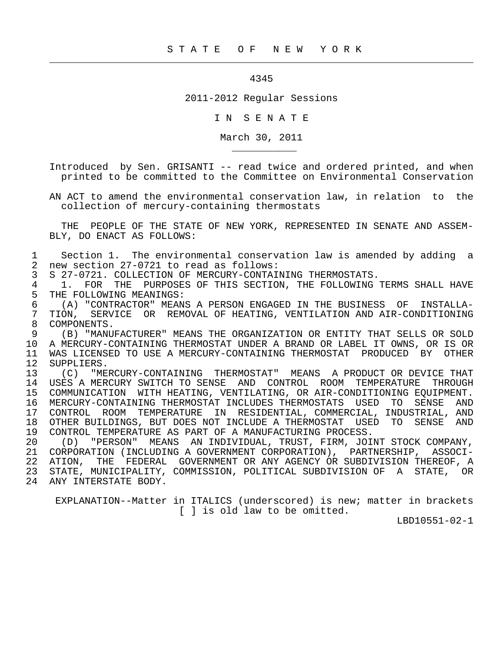## 4345

 $\frac{1}{2}$  , and the contribution of the contribution of the contribution of the contribution of the contribution of the contribution of the contribution of the contribution of the contribution of the contribution of the c

2011-2012 Regular Sessions

I N S E N A T E

March 30, 2011

 Introduced by Sen. GRISANTI -- read twice and ordered printed, and when printed to be committed to the Committee on Environmental Conservation

 AN ACT to amend the environmental conservation law, in relation to the collection of mercury-containing thermostats

 THE PEOPLE OF THE STATE OF NEW YORK, REPRESENTED IN SENATE AND ASSEM- BLY, DO ENACT AS FOLLOWS:

1 Section 1. The environmental conservation law is amended by adding a<br>2 new section 27-0721 to read as follows: 2 new section 27-0721 to read as follows:<br>3 S 27-0721. COLLECTION OF MERCURY-CONTAI

3 S 27-0721. COLLECTION OF MERCURY-CONTAINING THERMOSTATS.<br>4 1. FOR THE PURPOSES OF THIS SECTION, THE FOLLOWING

\_\_\_\_\_\_\_\_\_\_\_

4 1. FOR THE PURPOSES OF THIS SECTION, THE FOLLOWING TERMS SHALL HAVE<br>5 THE FOLLOWING MEANINGS: THE FOLLOWING MEANINGS:

 6 (A) "CONTRACTOR" MEANS A PERSON ENGAGED IN THE BUSINESS OF INSTALLA- 7 TION, SERVICE OR REMOVAL OF HEATING, VENTILATION AND AIR-CONDITIONING 8 COMPONENTS.<br>9 (B) "MANU

 9 (B) "MANUFACTURER" MEANS THE ORGANIZATION OR ENTITY THAT SELLS OR SOLD 10 A MERCURY-CONTAINING THERMOSTAT UNDER A BRAND OR LABEL IT OWNS, OR IS OR 11 WAS LICENSED TO USE A MERCURY-CONTAINING THERMOSTAT PRODUCED BY OTHER<br>12 SUPPLIERS. 12 SUPPLIERS.<br>13 (C) "ME

 13 (C) "MERCURY-CONTAINING THERMOSTAT" MEANS A PRODUCT OR DEVICE THAT 14 USES A MERCURY SWITCH TO SENSE AND CONTROL ROOM TEMPERATURE THROUGH 15 COMMUNICATION WITH HEATING, VENTILATING, OR AIR-CONDITIONING EQUIPMENT. 16 MERCURY-CONTAINING THERMOSTAT INCLUDES THERMOSTATS USED TO SENSE AND 17 CONTROL ROOM TEMPERATURE IN RESIDENTIAL, COMMERCIAL, INDUSTRIAL, AND 18 OTHER BUILDINGS, BUT DOES NOT INCLUDE A THERMOSTAT USED TO SENSE AND<br>19 CONTROL TEMPERATURE AS PART OF A MANUFACTURING PROCESS. 19 CONTROL TEMPERATURE AS PART OF A MANUFACTURING PROCESS.<br>20 (D) "PERSON" MEANS AN INDIVIDUAL, TRUST, FIRM, JOI

 20 (D) "PERSON" MEANS AN INDIVIDUAL, TRUST, FIRM, JOINT STOCK COMPANY, 21 CORPORATION (INCLUDING A GOVERNMENT CORPORATION), PARTNERSHIP, ASSOCI- 22 ATION, THE FEDERAL GOVERNMENT OR ANY AGENCY OR SUBDIVISION THEREOF, A 23 STATE, MUNICIPALITY, COMMISSION, POLITICAL SUBDIVISION OF A STATE, OR 24 ANY INTERSTATE BODY.

 EXPLANATION--Matter in ITALICS (underscored) is new; matter in brackets [ ] is old law to be omitted.

LBD10551-02-1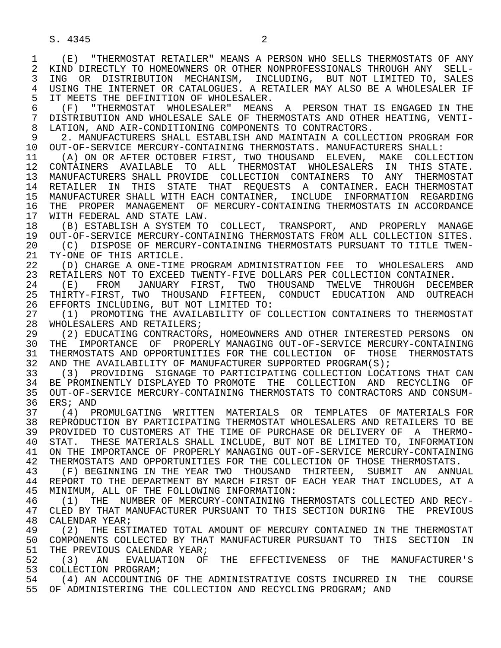S. 4345 2

 1 (E) "THERMOSTAT RETAILER" MEANS A PERSON WHO SELLS THERMOSTATS OF ANY 2 KIND DIRECTLY TO HOMEOWNERS OR OTHER NONPROFESSIONALS THROUGH ANY SELL-<br>3 ING OR DISTRIBUTION MECHANISM, INCLUDING, BUT NOT LIMITED TO, SALES ING OR DISTRIBUTION MECHANISM, INCLUDING, BUT NOT LIMITED TO, SALES 4 USING THE INTERNET OR CATALOGUES. A RETAILER MAY ALSO BE A WHOLESALER IF<br>5 IT MEETS THE DEFINITION OF WHOLESALER. 5 IT MEETS THE DEFINITION OF WHOLESALER.<br>6 (F) "THERMOSTAT WHOLESALER" MEANS 6 (F) "THERMOSTAT WHOLESALER" MEANS A PERSON THAT IS ENGAGED IN THE 7 DISTRIBUTION AND WHOLESALE SALE OF THERMOSTATS AND OTHER HEATING, VENTI- 8 LATION, AND AIR-CONDITIONING COMPONENTS TO CONTRACTORS.<br>9 2. MANUFACTURERS SHALL ESTABLISH AND MAINTAIN A COLLE 9 2. MANUFACTURERS SHALL ESTABLISH AND MAINTAIN A COLLECTION PROGRAM FOR<br>10 OUT-OF-SERVICE MERCURY-CONTAINING THERMOSTATS, MANUFACTURERS SHALL.: 10 OUT-OF-SERVICE MERCURY-CONTAINING THERMOSTATS. MANUFACTURERS SHALL:<br>11 (A) ON OR AFTER OCTOBER FIRST, TWO THOUSAND ELEVEN, MAKE COLLEO 11 (A) ON OR AFTER OCTOBER FIRST, TWO THOUSAND ELEVEN, MAKE COLLECTION<br>12 CONTAINERS AVAILABLE TO ALL THERMOSTAT WHOLESALERS IN THIS STATE. 12 CONTAINERS AVAILABLE TO ALL THERMOSTAT WHOLESALERS IN THIS STATE. 13 MANUFACTURERS SHALL PROVIDE COLLECTION CONTAINERS TO ANY THERMOSTAT<br>14 RETAILER IN THIS STATE THAT REQUESTS A CONTAINER EACH-THERMOSTAT 14 RETAILER IN THIS STATE THAT REQUESTS A CONTAINER. EACH THERMOSTAT 15 MANUFACTURER SHALL WITH EACH CONTAINER, INCLUDE INFORMATION REGARDING<br>16 THE PROPER MANAGEMENT OF MERCURY-CONTAINING THERMOSTATS IN ACCORDANCE 16 THE PROPER MANAGEMENT OF MERCURY-CONTAINING THERMOSTATS IN ACCORDANCE 17 WITH FEDERAL AND STATE LAW. 17 WITH FEDERAL AND STATE LAW.<br>18 (B) ESTABLISH A SYSTEM TO 18 (B) ESTABLISH A SYSTEM TO COLLECT, TRANSPORT, AND PROPERLY MANAGE 19 OUT-OF-SERVICE MERCURY-CONTAINING THERMOSTATS FROM ALL COLLECTION SITES.<br>20 (C) DISPOSE OF MERCURY-CONTAINING THERMOSTATS PURSUANT TO TITLE TWEN-20 (C) DISPOSE OF MERCURY-CONTAINING THERMOSTATS PURSUANT TO TITLE TWEN-<br>21 TY-ONE OF THIS ARTICLE. 21 TY-ONE OF THIS ARTICLE.<br>22 (D) CHARGE A ONE-TIME 22 (D) CHARGE A ONE-TIME PROGRAM ADMINISTRATION FEE TO WHOLESALERS AND<br>23 RETAILERS NOT TO EXCEED TWENTY-FIVE DOLLARS PER COLLECTION CONTAINER. 23 RETAILERS NOT TO EXCEED TWENTY-FIVE DOLLARS PER COLLECTION CONTAINER. 24 (E) FROM JANUARY FIRST, TWO THOUSAND TWELVE THROUGH DECEMBER<br>25 THIRTY-FIRST, TWO THOUSAND FIFTEEN, CONDUCT EDUCATION AND OUTREACH 25 THIRTY-FIRST, TWO THOUSAND FIFTEEN, CONDUCT EDUCATION AND OUTREACH 26 EFFORTS INCLUDING, BUT NOT LIMITED TO:<br>27 (1) PROMOTING THE AVAILABILITY OF CO 27 (1) PROMOTING THE AVAILABILITY OF COLLECTION CONTAINERS TO THERMOSTAT<br>28 WHOLESALERS AND RETAILERS; 28 WHOLESALERS AND RETAILERS;<br>29 (2) EDUCATING CONTRACTOR 29 (2) EDUCATING CONTRACTORS, HOMEOWNERS AND OTHER INTERESTED PERSONS ON<br>30 THE IMPORTANCE OF PROPERLY MANAGING OUT-OF-SERVICE MERCURY-CONTAINING 30 THE IMPORTANCE OF PROPERLY—MANAGING—OUT-OF-SERVICE—MERCURY-CONTAINING—<br>31 THERMOSTATS AND OPPORTUNITIES FOR THE COLLECTION—OF THOSE—THERMOSTATS 31 THERMOSTATS AND OPPORTUNITIES FOR THE COLLECTION OF THOSE THERMOSTATS<br>32 AND THE AVAILABILITY OF MANUFACTURER SUPPORTED PROGRAM(S); 32 AND THE AVAILABILITY OF MANUFACTURER SUPPORTED PROGRAM(S);<br>33 (3) PROVIDING SIGNAGE TO PARTICIPATING COLLECTION LOCA 33 (3) PROVIDING SIGNAGE TO PARTICIPATING COLLECTION LOCATIONS THAT CAN<br>34 BE PROMINENTLY DISPLAYED TO PROMOTE THE COLLECTION AND RECYCLING OF 34 BE PROMINENTLY DISPLAYED TO PROMOTE THE COLLECTION AND RECYCLING OF<br>35 OUT-OF-SERVICE MERCURY-CONTAINING THERMOSTATS TO CONTRACTORS AND CONSUM-35 OUT-OF-SERVICE MERCURY-CONTAINING THERMOSTATS TO CONTRACTORS AND CONSUM-<br>36 ERS; AND ERS; AND 37 (4) PROMULGATING WRITTEN MATERIALS OR TEMPLATES OF MATERIALS FOR 38 REPRODUCTION BY PARTICIPATING THERMOSTAT WHOLESALERS AND RETAILERS TO BE<br>39 PROVIDED TO CUSTOMERS AT THE TIME OF PURCHASE OR DELIVERY OF A THERMO-39 PROVIDED TO CUSTOMERS AT THE TIME OF PURCHASE OR DELIVERY OF A THERMO-<br>30 STAT. THESE MATERIALS SHALL INCLUDE, BUT NOT BE LIMITED TO, INFORMATION 40 STAT. THESE MATERIALS SHALL INCLUDE, BUT NOT BE LIMITED TO, INFORMATION<br>41 ON THE IMPORTANCE OF PROPERLY MANAGING OUT-OF-SERVICE MERCURY-CONTAINING 41 ON THE IMPORTANCE OF PROPERLY MANAGING OUT-OF-SERVICE MERCURY-CONTAINING<br>42 THERMOSTATS AND OPPORTUNITIES FOR THE COLLECTION OF THOSE THERMOSTATS. 42 THERMOSTATS AND OPPORTUNITIES FOR THE COLLECTION OF THOSE THERMOSTATS. 43 (F) BEGINNING IN THE YEAR TWO THOUSAND THIRTEEN, SUBMIT AN ANNUAL<br>44 REPORT TO THE DEPARTMENT BY MARCH FIRST OF EACH YEAR THAT INCLUDES, AT A 44 REPORT TO THE DEPARTMENT BY MARCH FIRST OF EACH YEAR THAT INCLUDES, AT A 45 MINIMUM, ALL OF THE FOLLOWING INFORMATION: MINIMUM, ALL OF THE FOLLOWING INFORMATION: 46 (1) THE NUMBER OF MERCURY-CONTAINING THERMOSTATS COLLECTED AND RECY-<br>47 CLED BY THAT MANUFACTURER PURSUANT TO THIS SECTION DURING THE PREVIOUS 47 CLED BY THAT MANUFACTURER PURSUANT TO THIS SECTION DURING THE PREVIOUS 48 CALENDAR YEAR; 48 CALENDAR YEAR;<br>49 (2) THE EST 49 (2) THE ESTIMATED TOTAL AMOUNT OF MERCURY CONTAINED IN THE THERMOSTAT<br>50 COMPONENTS COLLECTED BY THAT MANUFACTURER PURSUANT TO THIS SECTION IN 50 COMPONENTS COLLECTED BY THAT MANUFACTURER PURSUANT TO THIS SECTION IN<br>51 THE PREVIOUS CALENDAR YEAR; 51 THE PREVIOUS CALENDAR YEAR;<br>52 (3) AN EVALUATION OF 52 (3) AN EVALUATION OF THE EFFECTIVENESS OF THE MANUFACTURER'S<br>53 COLLECTION PROGRAM; 53 COLLECTION PROGRAM;<br>54 (4) AN ACCOUNTING 54 (4) AN ACCOUNTING OF THE ADMINISTRATIVE COSTS INCURRED IN THE COURSE 55 OF ADMINISTERING THE COLLECTION AND RECYCLING PROGRAM; AND